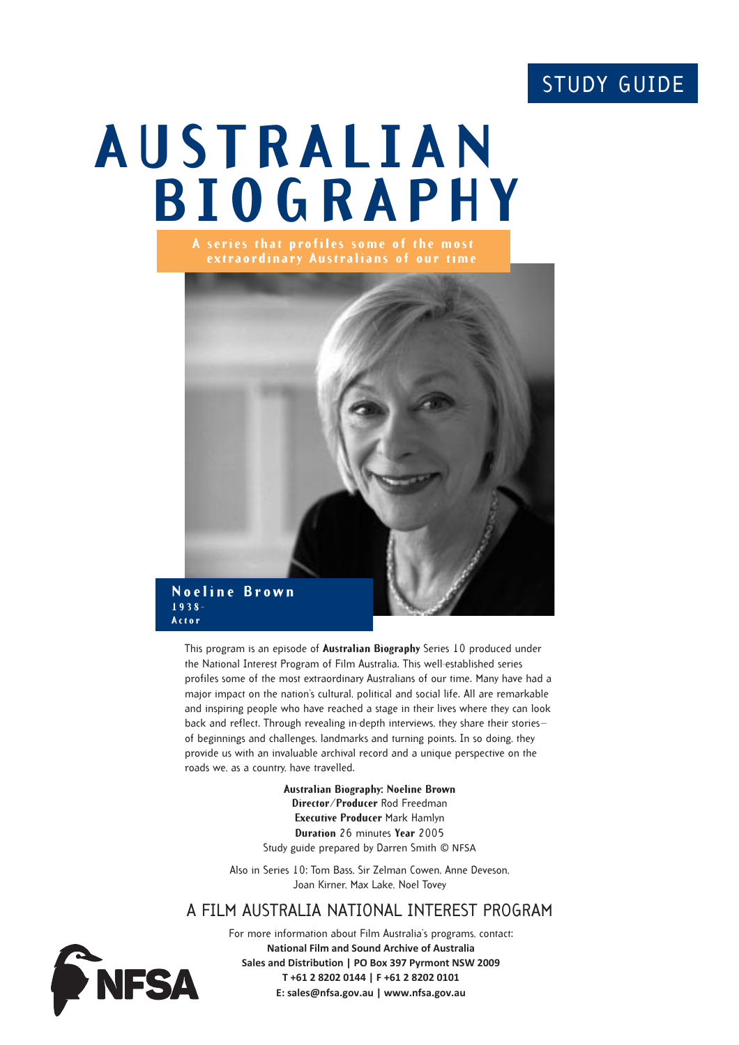# STUDY GUIDE

# **AUSTRALIAN BIOGRAPHY**



This program is an episode of **Australian Biography** Series 10 produced under the National Interest Program of Film Australia. This well-established series profiles some of the most extraordinary Australians of our time. Many have had a major impact on the nation's cultural, political and social life. All are remarkable and inspiring people who have reached a stage in their lives where they can look back and reflect. Through revealing in-depth interviews, they share their stories of beginnings and challenges, landmarks and turning points. In so doing, they provide us with an invaluable archival record and a unique perspective on the roads we, as a country, have travelled.

> **Australian Biography: Noeline Brown Director/Producer** Rod Freedman **Executive Producer** Mark Hamlyn **Duration** 26 minutes **Year** 2005 Study guide prepared by Darren Smith © NFSA

Also in Series 10: Tom Bass, Sir Zelman Cowen, Anne Deveson, Joan Kirner, Max Lake, Noel Tovey

## A FILM AUSTRALIA NATIONAL INTEREST PROGRAM



For more information about Film Australia's programs, contact: **National Film and Sound Archive of Australia Sales and Distribution | PO Box 397 Pyrmont NSW 2009 T +61 2 8202 0144 | F +61 2 8202 0101 E: sales@nfsa.gov.au | www.nfsa.gov.au**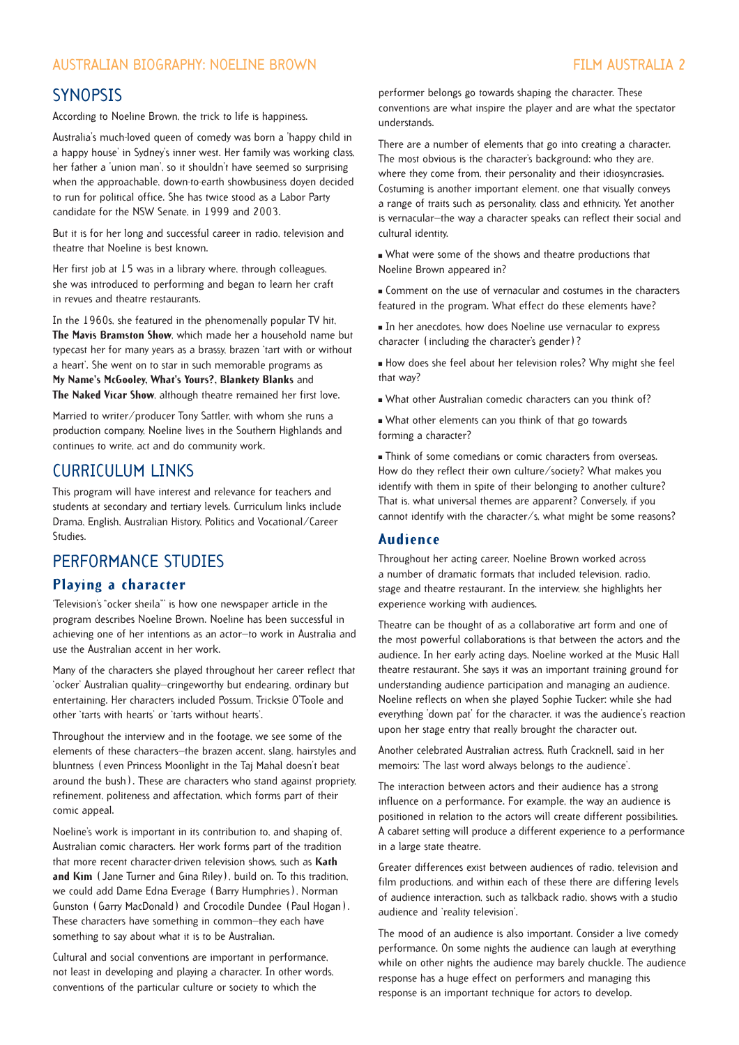#### AUSTRALIAN BIOGRAPHY: NOELINE BROWN FILM AUSTRALIA 2

#### **SYNOPSIS**

According to Noeline Brown, the trick to life is happiness.

Australia's much-loved queen of comedy was born a 'happy child in a happy house' in Sydney's inner west. Her family was working class, her father a 'union man', so it shouldn't have seemed so surprising when the approachable, down-to-earth showbusiness doyen decided to run for political office. She has twice stood as a Labor Party candidate for the NSW Senate, in 1999 and 2003.

But it is for her long and successful career in radio, television and theatre that Noeline is best known.

Her first job at 15 was in a library where, through colleagues, she was introduced to performing and began to learn her craft in revues and theatre restaurants.

In the 1960s, she featured in the phenomenally popular TV hit, **The Mavis Bramston Show**, which made her a household name but typecast her for many years as a brassy, brazen 'tart with or without a heart'. She went on to star in such memorable programs as **My Name's McGooley, What's Yours?, Blankety Blanks** and **The Naked Vicar Show**, although theatre remained her first love.

Married to writer/producer Tony Sattler, with whom she runs a production company, Noeline lives in the Southern Highlands and continues to write, act and do community work.

### CURRICULUM LINKS

This program will have interest and relevance for teachers and students at secondary and tertiary levels. Curriculum links include Drama, English, Australian History, Politics and Vocational/Career Studies.

## PERFORMANCE STUDIES

#### **Playing a character**

'Television's "ocker sheila"' is how one newspaper article in the program describes Noeline Brown. Noeline has been successful in achieving one of her intentions as an actor—to work in Australia and use the Australian accent in her work.

Many of the characters she played throughout her career reflect that 'ocker' Australian quality—cringeworthy but endearing, ordinary but entertaining. Her characters included Possum, Tricksie O'Toole and other 'tarts with hearts' or 'tarts without hearts'.

Throughout the interview and in the footage, we see some of the elements of these characters—the brazen accent, slang, hairstyles and bluntness (even Princess Moonlight in the Taj Mahal doesn't beat around the bush). These are characters who stand against propriety, refinement, politeness and affectation, which forms part of their comic appeal.

Noeline's work is important in its contribution to, and shaping of, Australian comic characters. Her work forms part of the tradition that more recent character-driven television shows, such as **Kath and Kim** (Jane Turner and Gina Riley), build on. To this tradition, we could add Dame Edna Everage (Barry Humphries), Norman Gunston (Garry MacDonald) and Crocodile Dundee (Paul Hogan). These characters have something in common—they each have something to say about what it is to be Australian.

Cultural and social conventions are important in performance, not least in developing and playing a character. In other words, conventions of the particular culture or society to which the

performer belongs go towards shaping the character. These conventions are what inspire the player and are what the spectator understands.

There are a number of elements that go into creating a character. The most obvious is the character's background: who they are, where they come from, their personality and their idiosyncrasies. Costuming is another important element, one that visually conveys a range of traits such as personality, class and ethnicity. Yet another is vernacular—the way a character speaks can reflect their social and cultural identity.

" What were some of the shows and theatre productions that Noeline Brown appeared in?

" Comment on the use of vernacular and costumes in the characters featured in the program. What effect do these elements have?

In her anecdotes, how does Noeline use vernacular to express character (including the character's gender)?

" How does she feel about her television roles? Why might she feel that way?

. What other Australian comedic characters can you think of?

" What other elements can you think of that go towards forming a character?

" Think of some comedians or comic characters from overseas. How do they reflect their own culture/society? What makes you identify with them in spite of their belonging to another culture? That is, what universal themes are apparent? Conversely, if you cannot identify with the character/s, what might be some reasons?

#### **Audience**

Throughout her acting career, Noeline Brown worked across a number of dramatic formats that included television, radio, stage and theatre restaurant. In the interview, she highlights her experience working with audiences.

Theatre can be thought of as a collaborative art form and one of the most powerful collaborations is that between the actors and the audience. In her early acting days, Noeline worked at the Music Hall theatre restaurant. She says it was an important training ground for understanding audience participation and managing an audience. Noeline reflects on when she played Sophie Tucker: while she had everything 'down pat' for the character, it was the audience's reaction upon her stage entry that really brought the character out.

Another celebrated Australian actress, Ruth Cracknell, said in her memoirs: 'The last word always belongs to the audience'.

The interaction between actors and their audience has a strong influence on a performance. For example, the way an audience is positioned in relation to the actors will create different possibilities. A cabaret setting will produce a different experience to a performance in a large state theatre.

Greater differences exist between audiences of radio, television and film productions, and within each of these there are differing levels of audience interaction, such as talkback radio, shows with a studio audience and 'reality television'.

The mood of an audience is also important. Consider a live comedy performance. On some nights the audience can laugh at everything while on other nights the audience may barely chuckle. The audience response has a huge effect on performers and managing this response is an important technique for actors to develop.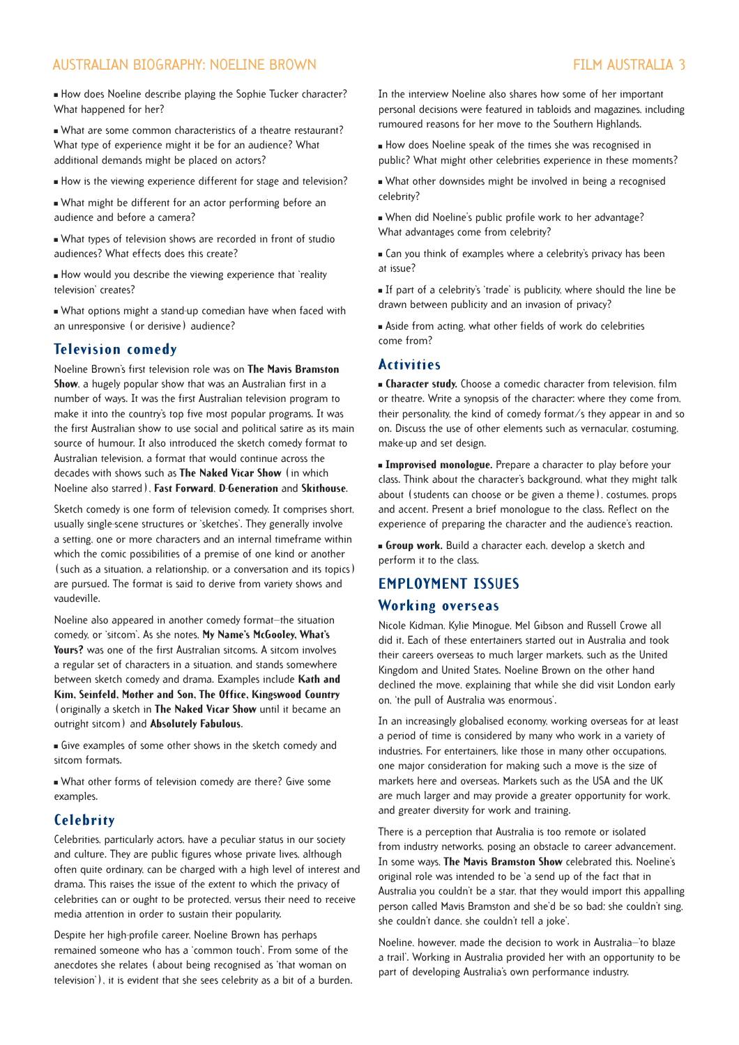#### AUSTRALIAN BIOGRAPHY: NOELINE BROWN FILM AUSTRALIA 3

" How does Noeline describe playing the Sophie Tucker character? What happened for her?

. What are some common characteristics of a theatre restaurant? What type of experience might it be for an audience? What additional demands might be placed on actors?

- " How is the viewing experience different for stage and television?
- . What might be different for an actor performing before an audience and before a camera?
- What types of television shows are recorded in front of studio audiences? What effects does this create?
- " How would you describe the viewing experience that 'reality television' creates?

" What options might a stand-up comedian have when faced with an unresponsive (or derisive) audience?

#### **Television comedy**

Noeline Brown's first television role was on **The Mavis Bramston Show**, a hugely popular show that was an Australian first in a number of ways. It was the first Australian television program to make it into the country's top five most popular programs. It was the first Australian show to use social and political satire as its main source of humour. It also introduced the sketch comedy format to Australian television, a format that would continue across the decades with shows such as **The Naked Vicar Show** (in which Noeline also starred), **Fast Forward**, **D-Generation** and **Skithouse**.

Sketch comedy is one form of television comedy. It comprises short, usually single-scene structures or 'sketches'. They generally involve a setting, one or more characters and an internal timeframe within which the comic possibilities of a premise of one kind or another (such as a situation, a relationship, or a conversation and its topics) are pursued. The format is said to derive from variety shows and vaudeville.

Noeline also appeared in another comedy format—the situation comedy, or 'sitcom'. As she notes, **My Name's McGooley, What's Yours?** was one of the first Australian sitcoms. A sitcom involves a regular set of characters in a situation, and stands somewhere between sketch comedy and drama. Examples include **Kath and Kim, Seinfeld, Mother and Son, The Office, Kingswood Country** (originally a sketch in **The Naked Vicar Show** until it became an outright sitcom) and **Absolutely Fabulous**.

" Give examples of some other shows in the sketch comedy and sitcom formats.

What other forms of television comedy are there? Give some examples.

#### **Celebrity**

Celebrities, particularly actors, have a peculiar status in our society and culture. They are public figures whose private lives, although often quite ordinary, can be charged with a high level of interest and drama. This raises the issue of the extent to which the privacy of celebrities can or ought to be protected, versus their need to receive media attention in order to sustain their popularity.

Despite her high-profile career, Noeline Brown has perhaps remained someone who has a 'common touch'. From some of the anecdotes she relates (about being recognised as 'that woman on television'), it is evident that she sees celebrity as a bit of a burden. In the interview Noeline also shares how some of her important personal decisions were featured in tabloids and magazines, including rumoured reasons for her move to the Southern Highlands.

" How does Noeline speak of the times she was recognised in public? What might other celebrities experience in these moments?

" What other downsides might be involved in being a recognised celebrity?

" When did Noeline's public profile work to her advantage? What advantages come from celebrity?

**Examples** where a celebrity's privacy has been at issue?

" If part of a celebrity's 'trade' is publicity, where should the line be drawn between publicity and an invasion of privacy?

" Aside from acting, what other fields of work do celebrities come from?

#### **Activities**

**Example:** Character study. Choose a comedic character from television, film or theatre. Write a synopsis of the character: where they come from, their personality, the kind of comedy format/s they appear in and so on. Discuss the use of other elements such as vernacular, costuming, make-up and set design.

**Improvised monologue.** Prepare a character to play before your class. Think about the character's background, what they might talk about (students can choose or be given a theme), costumes, props and accent. Present a brief monologue to the class. Reflect on the experience of preparing the character and the audience's reaction.

**Group work.** Build a character each, develop a sketch and perform it to the class.

#### **EMPLOYMENT ISSUES**

#### **Working overseas**

Nicole Kidman, Kylie Minogue, Mel Gibson and Russell Crowe all did it. Each of these entertainers started out in Australia and took their careers overseas to much larger markets, such as the United Kingdom and United States. Noeline Brown on the other hand declined the move, explaining that while she did visit London early on, 'the pull of Australia was enormous'.

In an increasingly globalised economy, working overseas for at least a period of time is considered by many who work in a variety of industries. For entertainers, like those in many other occupations, one major consideration for making such a move is the size of markets here and overseas. Markets such as the USA and the UK are much larger and may provide a greater opportunity for work, and greater diversity for work and training.

There is a perception that Australia is too remote or isolated from industry networks, posing an obstacle to career advancement. In some ways, **The Mavis Bramston Show** celebrated this. Noeline's original role was intended to be 'a send up of the fact that in Australia you couldn't be a star, that they would import this appalling person called Mavis Bramston and she'd be so bad; she couldn't sing, she couldn't dance, she couldn't tell a joke'.

Noeline, however, made the decision to work in Australia—'to blaze a trail'. Working in Australia provided her with an opportunity to be part of developing Australia's own performance industry.